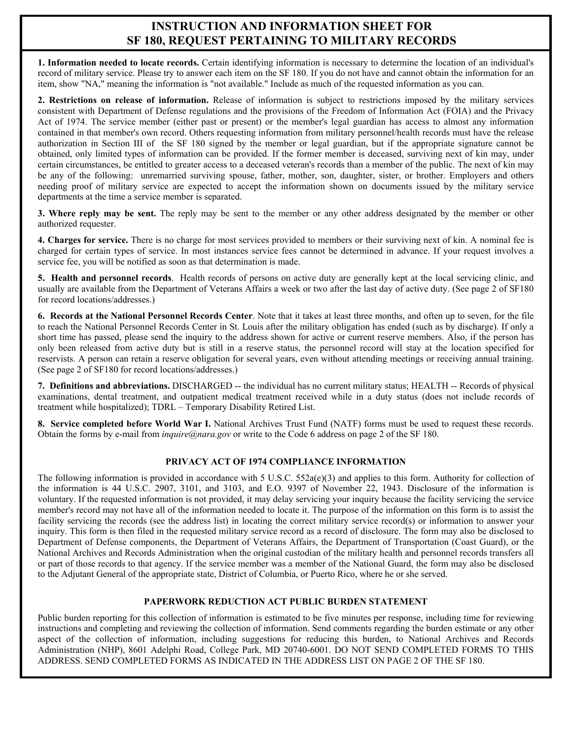# **INSTRUCTION AND INFORMATION SHEET FOR SF 180, REQUEST PERTAINING TO MILITARY RECORDS**

**1. Information needed to locate records.** Certain identifying information is necessary to determine the location of an individual's record of military service. Please try to answer each item on the SF 180. If you do not have and cannot obtain the information for an item, show "NA," meaning the information is "not available." Include as much of the requested information as you can.

**2. Restrictions on release of information.** Release of information is subject to restrictions imposed by the military services consistent with Department of Defense regulations and the provisions of the Freedom of Information Act (FOIA) and the Privacy Act of 1974. The service member (either past or present) or the member's legal guardian has access to almost any information contained in that member's own record. Others requesting information from military personnel/health records must have the release authorization in Section III of the SF 180 signed by the member or legal guardian, but if the appropriate signature cannot be obtained, only limited types of information can be provided. If the former member is deceased, surviving next of kin may, under certain circumstances, be entitled to greater access to a deceased veteran's records than a member of the public. The next of kin may be any of the following: unremarried surviving spouse, father, mother, son, daughter, sister, or brother. Employers and others needing proof of military service are expected to accept the information shown on documents issued by the military service departments at the time a service member is separated.

**3. Where reply may be sent.** The reply may be sent to the member or any other address designated by the member or other authorized requester.

**4. Charges for service.** There is no charge for most services provided to members or their surviving next of kin. A nominal fee is charged for certain types of service. In most instances service fees cannot be determined in advance. If your request involves a service fee, you will be notified as soon as that determination is made.

**5. Health and personnel records**. Health records of persons on active duty are generally kept at the local servicing clinic, and usually are available from the Department of Veterans Affairs a week or two after the last day of active duty. (See page 2 of SF180 for record locations/addresses.)

**6. Records at the National Personnel Records Center**. Note that it takes at least three months, and often up to seven, for the file to reach the National Personnel Records Center in St. Louis after the military obligation has ended (such as by discharge). If only a short time has passed, please send the inquiry to the address shown for active or current reserve members. Also, if the person has only been released from active duty but is still in a reserve status, the personnel record will stay at the location specified for reservists. A person can retain a reserve obligation for several years, even without attending meetings or receiving annual training. (See page 2 of SF180 for record locations/addresses.)

**7. Definitions and abbreviations.** DISCHARGED -- the individual has no current military status; HEALTH -- Records of physical examinations, dental treatment, and outpatient medical treatment received while in a duty status (does not include records of treatment while hospitalized); TDRL – Temporary Disability Retired List.

**8. Service completed before World War I.** National Archives Trust Fund (NATF) forms must be used to request these records. Obtain the forms by e-mail from *inquire@nara.gov* or write to the Code 6 address on page 2 of the SF 180.

## **PRIVACY ACT OF 1974 COMPLIANCE INFORMATION**

The following information is provided in accordance with 5 U.S.C. 552a(e)(3) and applies to this form. Authority for collection of the information is 44 U.S.C. 2907, 3101, and 3103, and E.O. 9397 of November 22, 1943. Disclosure of the information is voluntary. If the requested information is not provided, it may delay servicing your inquiry because the facility servicing the service member's record may not have all of the information needed to locate it. The purpose of the information on this form is to assist the facility servicing the records (see the address list) in locating the correct military service record(s) or information to answer your inquiry. This form is then filed in the requested military service record as a record of disclosure. The form may also be disclosed to Department of Defense components, the Department of Veterans Affairs, the Department of Transportation (Coast Guard), or the National Archives and Records Administration when the original custodian of the military health and personnel records transfers all or part of those records to that agency. If the service member was a member of the National Guard, the form may also be disclosed to the Adjutant General of the appropriate state, District of Columbia, or Puerto Rico, where he or she served.

#### **PAPERWORK REDUCTION ACT PUBLIC BURDEN STATEMENT**

Public burden reporting for this collection of information is estimated to be five minutes per response, including time for reviewing instructions and completing and reviewing the collection of information. Send comments regarding the burden estimate or any other aspect of the collection of information, including suggestions for reducing this burden, to National Archives and Records Administration (NHP), 8601 Adelphi Road, College Park, MD 20740-6001. DO NOT SEND COMPLETED FORMS TO THIS ADDRESS. SEND COMPLETED FORMS AS INDICATED IN THE ADDRESS LIST ON PAGE 2 OF THE SF 180.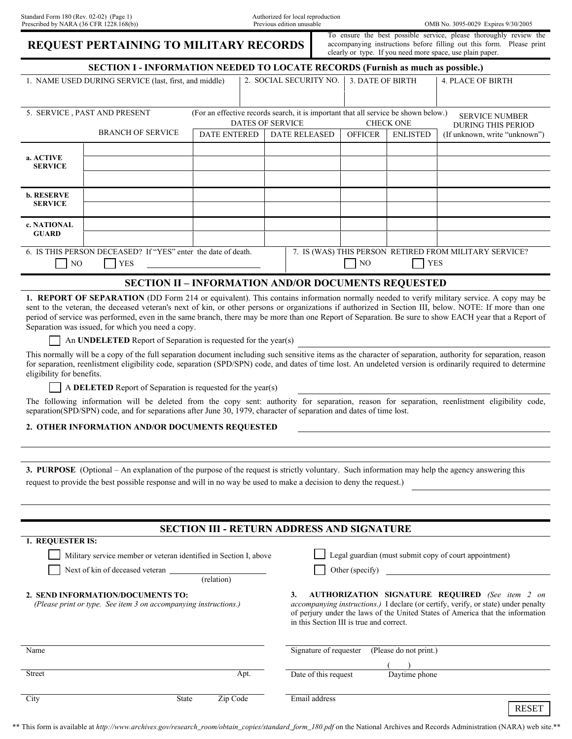| Standard Form 180 (Rev. 02-02) (Page 1)<br>Prescribed by NARA (36 CFR 1228.168(b)) |                                                                                                                                                                                                                                                                     |                                                                                     | Authorized for local reproduction<br>Previous edition unusable |                                          |                  | OMB No. 3095-0029 Expires 9/30/2005                                                                                                                                                                                                                                                                                                                                                                                                                                                                                                                                                                                                                                                                                                                                                       |
|------------------------------------------------------------------------------------|---------------------------------------------------------------------------------------------------------------------------------------------------------------------------------------------------------------------------------------------------------------------|-------------------------------------------------------------------------------------|----------------------------------------------------------------|------------------------------------------|------------------|-------------------------------------------------------------------------------------------------------------------------------------------------------------------------------------------------------------------------------------------------------------------------------------------------------------------------------------------------------------------------------------------------------------------------------------------------------------------------------------------------------------------------------------------------------------------------------------------------------------------------------------------------------------------------------------------------------------------------------------------------------------------------------------------|
|                                                                                    | <b>REQUEST PERTAINING TO MILITARY RECORDS</b>                                                                                                                                                                                                                       |                                                                                     |                                                                |                                          |                  | To ensure the best possible service, please thoroughly review the<br>accompanying instructions before filling out this form. Please print<br>clearly or type. If you need more space, use plain paper.                                                                                                                                                                                                                                                                                                                                                                                                                                                                                                                                                                                    |
|                                                                                    | <b>SECTION I - INFORMATION NEEDED TO LOCATE RECORDS (Furnish as much as possible.)</b>                                                                                                                                                                              |                                                                                     |                                                                |                                          |                  |                                                                                                                                                                                                                                                                                                                                                                                                                                                                                                                                                                                                                                                                                                                                                                                           |
|                                                                                    | 1. NAME USED DURING SERVICE (last, first, and middle)                                                                                                                                                                                                               |                                                                                     | 2. SOCIAL SECURITY NO.                                         |                                          | 3. DATE OF BIRTH | <b>4. PLACE OF BIRTH</b>                                                                                                                                                                                                                                                                                                                                                                                                                                                                                                                                                                                                                                                                                                                                                                  |
|                                                                                    | 5. SERVICE, PAST AND PRESENT                                                                                                                                                                                                                                        | (For an effective records search, it is important that all service be shown below.) | <b>DATES OF SERVICE</b>                                        |                                          | <b>CHECK ONE</b> | <b>SERVICE NUMBER</b><br><b>DURING THIS PERIOD</b>                                                                                                                                                                                                                                                                                                                                                                                                                                                                                                                                                                                                                                                                                                                                        |
|                                                                                    | <b>BRANCH OF SERVICE</b>                                                                                                                                                                                                                                            | <b>DATE ENTERED</b>                                                                 | <b>DATE RELEASED</b>                                           | <b>OFFICER</b>                           | <b>ENLISTED</b>  | (If unknown, write "unknown")                                                                                                                                                                                                                                                                                                                                                                                                                                                                                                                                                                                                                                                                                                                                                             |
| a. ACTIVE<br><b>SERVICE</b>                                                        |                                                                                                                                                                                                                                                                     |                                                                                     |                                                                |                                          |                  |                                                                                                                                                                                                                                                                                                                                                                                                                                                                                                                                                                                                                                                                                                                                                                                           |
| <b>b. RESERVE</b><br><b>SERVICE</b>                                                |                                                                                                                                                                                                                                                                     |                                                                                     |                                                                |                                          |                  |                                                                                                                                                                                                                                                                                                                                                                                                                                                                                                                                                                                                                                                                                                                                                                                           |
| c. NATIONAL<br><b>GUARD</b>                                                        |                                                                                                                                                                                                                                                                     |                                                                                     |                                                                |                                          |                  |                                                                                                                                                                                                                                                                                                                                                                                                                                                                                                                                                                                                                                                                                                                                                                                           |
| N <sub>O</sub>                                                                     | 6. IS THIS PERSON DECEASED? If "YES" enter the date of death.<br><b>YES</b>                                                                                                                                                                                         |                                                                                     |                                                                | N <sub>O</sub>                           |                  | 7. IS (WAS) THIS PERSON RETIRED FROM MILITARY SERVICE?<br><b>YES</b>                                                                                                                                                                                                                                                                                                                                                                                                                                                                                                                                                                                                                                                                                                                      |
|                                                                                    |                                                                                                                                                                                                                                                                     | <b>SECTION II - INFORMATION AND/OR DOCUMENTS REQUESTED</b>                          |                                                                |                                          |                  |                                                                                                                                                                                                                                                                                                                                                                                                                                                                                                                                                                                                                                                                                                                                                                                           |
|                                                                                    | Separation was issued, for which you need a copy.<br>An UNDELETED Report of Separation is requested for the year(s)                                                                                                                                                 |                                                                                     |                                                                |                                          |                  | 1. REPORT OF SEPARATION (DD Form 214 or equivalent). This contains information normally needed to verify military service. A copy may be<br>sent to the veteran, the deceased veteran's next of kin, or other persons or organizations if authorized in Section III, below. NOTE: If more than one<br>period of service was performed, even in the same branch, there may be more than one Report of Separation. Be sure to show EACH year that a Report of<br>This normally will be a copy of the full separation document including such sensitive items as the character of separation, authority for separation, reason<br>for separation, reenlistment eligibility code, separation (SPD/SPN) code, and dates of time lost. An undeleted version is ordinarily required to determine |
| eligibility for benefits.                                                          | A DELETED Report of Separation is requested for the year(s)                                                                                                                                                                                                         |                                                                                     |                                                                |                                          |                  |                                                                                                                                                                                                                                                                                                                                                                                                                                                                                                                                                                                                                                                                                                                                                                                           |
|                                                                                    | separation(SPD/SPN) code, and for separations after June 30, 1979, character of separation and dates of time lost.                                                                                                                                                  |                                                                                     |                                                                |                                          |                  | The following information will be deleted from the copy sent: authority for separation, reason for separation, reenlistment eligibility code,                                                                                                                                                                                                                                                                                                                                                                                                                                                                                                                                                                                                                                             |
|                                                                                    | 2. OTHER INFORMATION AND/OR DOCUMENTS REQUESTED                                                                                                                                                                                                                     |                                                                                     |                                                                |                                          |                  |                                                                                                                                                                                                                                                                                                                                                                                                                                                                                                                                                                                                                                                                                                                                                                                           |
|                                                                                    | 3. PURPOSE (Optional – An explanation of the purpose of the request is strictly voluntary. Such information may help the agency answering this<br>request to provide the best possible response and will in no way be used to make a decision to deny the request.) |                                                                                     |                                                                |                                          |                  |                                                                                                                                                                                                                                                                                                                                                                                                                                                                                                                                                                                                                                                                                                                                                                                           |
|                                                                                    |                                                                                                                                                                                                                                                                     | <b>SECTION III - RETURN ADDRESS AND SIGNATURE</b>                                   |                                                                |                                          |                  |                                                                                                                                                                                                                                                                                                                                                                                                                                                                                                                                                                                                                                                                                                                                                                                           |
| 1. REQUESTER IS:                                                                   | Military service member or veteran identified in Section I, above<br>Next of kin of deceased veteran                                                                                                                                                                | (relation)                                                                          |                                                                |                                          |                  | Legal guardian (must submit copy of court appointment)<br>Other (specify)                                                                                                                                                                                                                                                                                                                                                                                                                                                                                                                                                                                                                                                                                                                 |
|                                                                                    | 2. SEND INFORMATION/DOCUMENTS TO:<br>(Please print or type. See item 3 on accompanying instructions.)                                                                                                                                                               |                                                                                     | 3.                                                             | in this Section III is true and correct. |                  | <b>AUTHORIZATION SIGNATURE REQUIRED</b> (See item 2 on<br>accompanying instructions.) I declare (or certify, verify, or state) under penalty<br>of perjury under the laws of the United States of America that the information                                                                                                                                                                                                                                                                                                                                                                                                                                                                                                                                                            |
|                                                                                    |                                                                                                                                                                                                                                                                     |                                                                                     |                                                                |                                          |                  |                                                                                                                                                                                                                                                                                                                                                                                                                                                                                                                                                                                                                                                                                                                                                                                           |

| Name          |       |          | Signature of requester | (Please do not print.) |              |
|---------------|-------|----------|------------------------|------------------------|--------------|
|               |       |          |                        |                        |              |
| <b>Street</b> |       | Apt.     | Date of this request   | Daytime phone          |              |
|               |       |          |                        |                        |              |
| City          | State | Zip Code | Email address          |                        |              |
|               |       |          |                        |                        | <b>RESET</b> |

| ** This form is available at http://www.archives.gov/research_room/obtain_copies/standard_form_180.pdf on the National Archives and Records Administration (NARA) web site.** |  |  |  |  |
|-------------------------------------------------------------------------------------------------------------------------------------------------------------------------------|--|--|--|--|